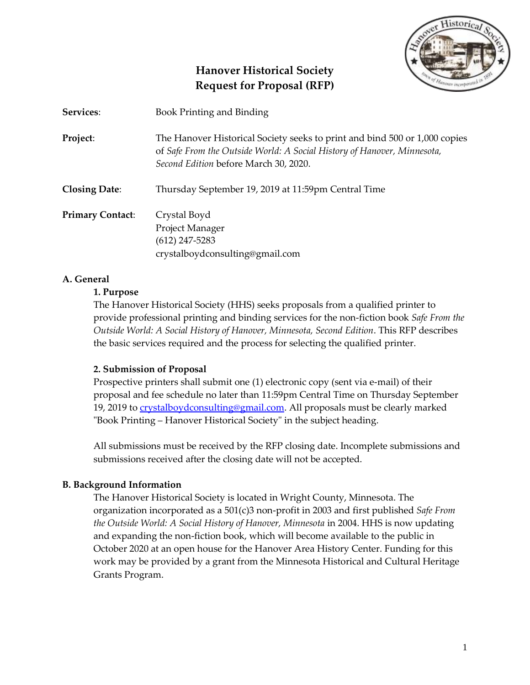

# **Hanover Historical Society Request for Proposal (RFP)**

| Services:               | Book Printing and Binding                                                                                                                                                                      |  |
|-------------------------|------------------------------------------------------------------------------------------------------------------------------------------------------------------------------------------------|--|
| Project:                | The Hanover Historical Society seeks to print and bind 500 or 1,000 copies<br>of Safe From the Outside World: A Social History of Hanover, Minnesota,<br>Second Edition before March 30, 2020. |  |
| <b>Closing Date:</b>    | Thursday September 19, 2019 at 11:59pm Central Time                                                                                                                                            |  |
| <b>Primary Contact:</b> | Crystal Boyd<br>Project Manager<br>$(612)$ 247-5283<br>crystalboydconsulting@gmail.com                                                                                                         |  |

### **A. General**

#### **1. Purpose**

The Hanover Historical Society (HHS) seeks proposals from a qualified printer to provide professional printing and binding services for the non-fiction book *Safe From the Outside World: A Social History of Hanover, Minnesota, Second Edition*. This RFP describes the basic services required and the process for selecting the qualified printer.

#### **2. Submission of Proposal**

Prospective printers shall submit one (1) electronic copy (sent via e-mail) of their proposal and fee schedule no later than 11:59pm Central Time on Thursday September 19, 2019 to [crystalboydconsulting@gmail.com.](mailto:crystalboydconsulting@gmail.com) All proposals must be clearly marked "Book Printing – Hanover Historical Society" in the subject heading.

All submissions must be received by the RFP closing date. Incomplete submissions and submissions received after the closing date will not be accepted.

#### **B. Background Information**

The Hanover Historical Society is located in Wright County, Minnesota. The organization incorporated as a 501(c)3 non-profit in 2003 and first published *Safe From the Outside World: A Social History of Hanover, Minnesota* in 2004. HHS is now updating and expanding the non-fiction book, which will become available to the public in October 2020 at an open house for the Hanover Area History Center. Funding for this work may be provided by a grant from the Minnesota Historical and Cultural Heritage Grants Program.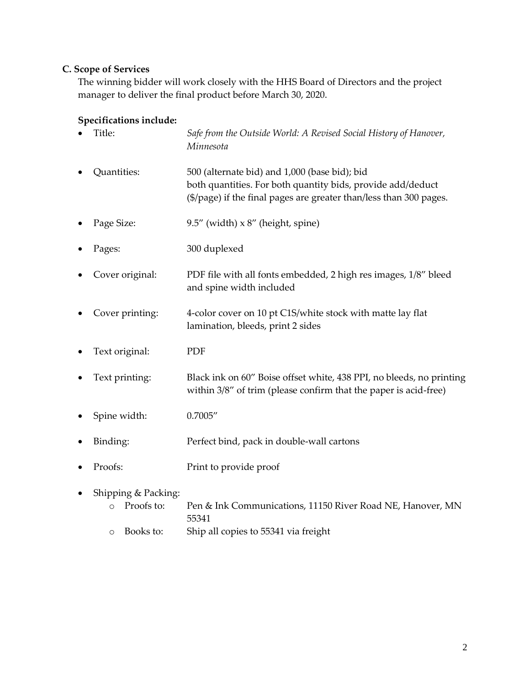# **C. Scope of Services**

The winning bidder will work closely with the HHS Board of Directors and the project manager to deliver the final product before March 30, 2020.

# **Specifications include:**

| $\bullet$ | Title:              | Safe from the Outside World: A Revised Social History of Hanover,<br>Minnesota                                                                                                     |
|-----------|---------------------|------------------------------------------------------------------------------------------------------------------------------------------------------------------------------------|
|           | Quantities:         | 500 (alternate bid) and 1,000 (base bid); bid<br>both quantities. For both quantity bids, provide add/deduct<br>(\$/page) if the final pages are greater than/less than 300 pages. |
| $\bullet$ | Page Size:          | 9.5" (width) $\times$ 8" (height, spine)                                                                                                                                           |
| $\bullet$ | Pages:              | 300 duplexed                                                                                                                                                                       |
| $\bullet$ | Cover original:     | PDF file with all fonts embedded, 2 high res images, 1/8" bleed<br>and spine width included                                                                                        |
|           | Cover printing:     | 4-color cover on 10 pt C1S/white stock with matte lay flat<br>lamination, bleeds, print 2 sides                                                                                    |
| $\bullet$ | Text original:      | PDF                                                                                                                                                                                |
|           | Text printing:      | Black ink on 60" Boise offset white, 438 PPI, no bleeds, no printing<br>within 3/8" of trim (please confirm that the paper is acid-free)                                           |
| $\bullet$ | Spine width:        | 0.7005''                                                                                                                                                                           |
|           | Binding:            | Perfect bind, pack in double-wall cartons                                                                                                                                          |
| $\bullet$ | Proofs:             | Print to provide proof                                                                                                                                                             |
| $\bullet$ | Shipping & Packing: |                                                                                                                                                                                    |

- o Proofs to: Pen & Ink Communications, 11150 River Road NE, Hanover, MN 55341
- o Books to: Ship all copies to 55341 via freight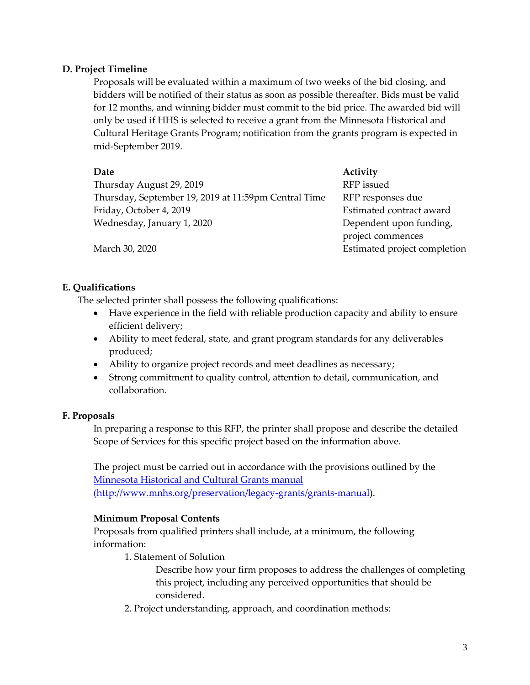### **D. Project Timeline**

Proposals will be evaluated within a maximum of two weeks of the bid closing, and bidders will be notified of their status as soon as possible thereafter. Bids must be valid for 12 months, and winning bidder must commit to the bid price. The awarded bid will only be used if HHS is selected to receive a grant from the Minnesota Historical and Cultural Heritage Grants Program; notification from the grants program is expected in mid-September 2019.

| Date                                                 | Activity                     |
|------------------------------------------------------|------------------------------|
| Thursday August 29, 2019                             | RFP issued                   |
| Thursday, September 19, 2019 at 11:59pm Central Time | RFP responses due            |
| Friday, October 4, 2019                              | Estimated contract award     |
| Wednesday, January 1, 2020                           | Dependent upon funding,      |
|                                                      | project commences            |
| March 30, 2020                                       | Estimated project completion |

**E. Qualifications**

The selected printer shall possess the following qualifications:

- Have experience in the field with reliable production capacity and ability to ensure efficient delivery;
- Ability to meet federal, state, and grant program standards for any deliverables produced;
- Ability to organize project records and meet deadlines as necessary;
- Strong commitment to quality control, attention to detail, communication, and collaboration.

#### **F. Proposals**

In preparing a response to this RFP, the printer shall propose and describe the detailed Scope of Services for this specific project based on the information above.

The project must be carried out in accordance with the provisions outlined by the [Minnesota Historical and Cultural Grants manual](http://www.mnhs.org/preservation/legacy-grants/grants-manual) [\(http://www.mnhs.org/preservation/legacy-grants/grants-manual\)](http://www.mnhs.org/preservation/legacy-grants/grants-manual).

# **Minimum Proposal Contents**

Proposals from qualified printers shall include, at a minimum, the following information:

1. Statement of Solution

Describe how your firm proposes to address the challenges of completing this project, including any perceived opportunities that should be considered.

2. Project understanding, approach, and coordination methods: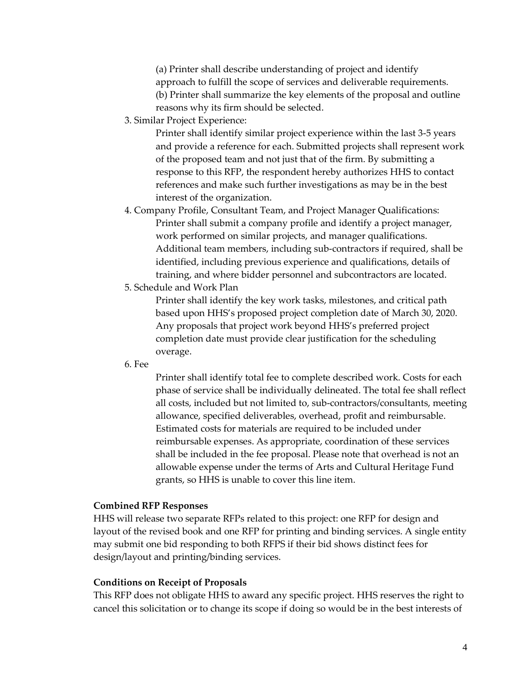(a) Printer shall describe understanding of project and identify approach to fulfill the scope of services and deliverable requirements. (b) Printer shall summarize the key elements of the proposal and outline reasons why its firm should be selected.

3. Similar Project Experience:

Printer shall identify similar project experience within the last 3-5 years and provide a reference for each. Submitted projects shall represent work of the proposed team and not just that of the firm. By submitting a response to this RFP, the respondent hereby authorizes HHS to contact references and make such further investigations as may be in the best interest of the organization.

- 4. Company Profile, Consultant Team, and Project Manager Qualifications: Printer shall submit a company profile and identify a project manager, work performed on similar projects, and manager qualifications. Additional team members, including sub-contractors if required, shall be identified, including previous experience and qualifications, details of training, and where bidder personnel and subcontractors are located.
- 5. Schedule and Work Plan

Printer shall identify the key work tasks, milestones, and critical path based upon HHS's proposed project completion date of March 30, 2020. Any proposals that project work beyond HHS's preferred project completion date must provide clear justification for the scheduling overage.

6. Fee

Printer shall identify total fee to complete described work. Costs for each phase of service shall be individually delineated. The total fee shall reflect all costs, included but not limited to, sub-contractors/consultants, meeting allowance, specified deliverables, overhead, profit and reimbursable. Estimated costs for materials are required to be included under reimbursable expenses. As appropriate, coordination of these services shall be included in the fee proposal. Please note that overhead is not an allowable expense under the terms of Arts and Cultural Heritage Fund grants, so HHS is unable to cover this line item.

#### **Combined RFP Responses**

HHS will release two separate RFPs related to this project: one RFP for design and layout of the revised book and one RFP for printing and binding services. A single entity may submit one bid responding to both RFPS if their bid shows distinct fees for design/layout and printing/binding services.

#### **Conditions on Receipt of Proposals**

This RFP does not obligate HHS to award any specific project. HHS reserves the right to cancel this solicitation or to change its scope if doing so would be in the best interests of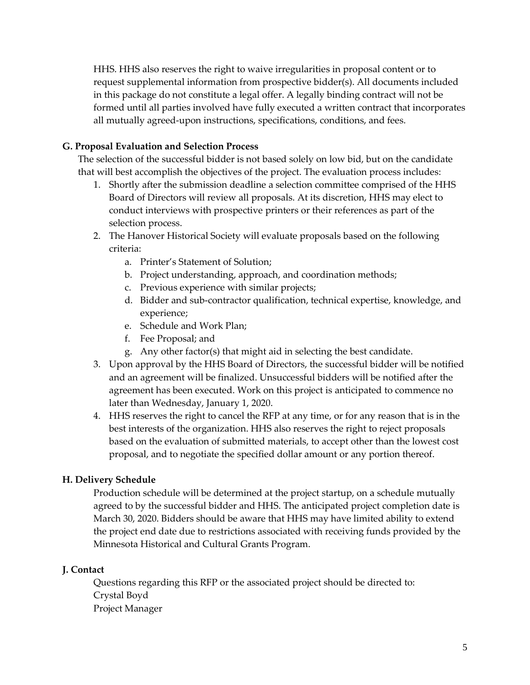HHS. HHS also reserves the right to waive irregularities in proposal content or to request supplemental information from prospective bidder(s). All documents included in this package do not constitute a legal offer. A legally binding contract will not be formed until all parties involved have fully executed a written contract that incorporates all mutually agreed-upon instructions, specifications, conditions, and fees.

# **G. Proposal Evaluation and Selection Process**

The selection of the successful bidder is not based solely on low bid, but on the candidate that will best accomplish the objectives of the project. The evaluation process includes:

- 1. Shortly after the submission deadline a selection committee comprised of the HHS Board of Directors will review all proposals. At its discretion, HHS may elect to conduct interviews with prospective printers or their references as part of the selection process.
- 2. The Hanover Historical Society will evaluate proposals based on the following criteria:
	- a. Printer's Statement of Solution;
	- b. Project understanding, approach, and coordination methods;
	- c. Previous experience with similar projects;
	- d. Bidder and sub-contractor qualification, technical expertise, knowledge, and experience;
	- e. Schedule and Work Plan;
	- f. Fee Proposal; and
	- g. Any other factor(s) that might aid in selecting the best candidate.
- 3. Upon approval by the HHS Board of Directors, the successful bidder will be notified and an agreement will be finalized. Unsuccessful bidders will be notified after the agreement has been executed. Work on this project is anticipated to commence no later than Wednesday, January 1, 2020.
- 4. HHS reserves the right to cancel the RFP at any time, or for any reason that is in the best interests of the organization. HHS also reserves the right to reject proposals based on the evaluation of submitted materials, to accept other than the lowest cost proposal, and to negotiate the specified dollar amount or any portion thereof.

# **H. Delivery Schedule**

Production schedule will be determined at the project startup, on a schedule mutually agreed to by the successful bidder and HHS. The anticipated project completion date is March 30, 2020. Bidders should be aware that HHS may have limited ability to extend the project end date due to restrictions associated with receiving funds provided by the Minnesota Historical and Cultural Grants Program.

# **J. Contact**

Questions regarding this RFP or the associated project should be directed to: Crystal Boyd Project Manager